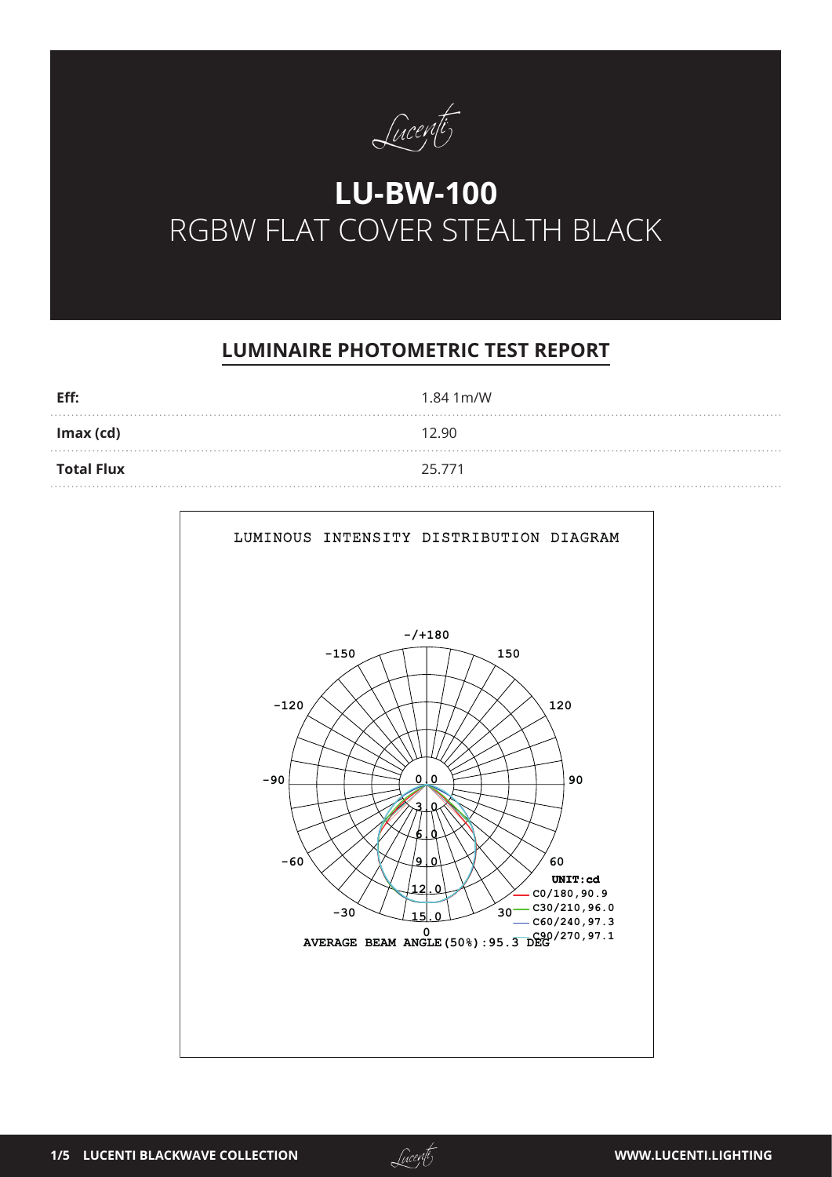

# **LU-BW-100** RGBW FLAT COVER STEALTH BLACK

# **LUMINAIRE PHOTOMETRIC TEST REPORT**

| Eff:              | 1.84 1 m/W |
|-------------------|------------|
| $Imax$ (cd)       | 12.90      |
| <b>Total Flux</b> | 25.771     |



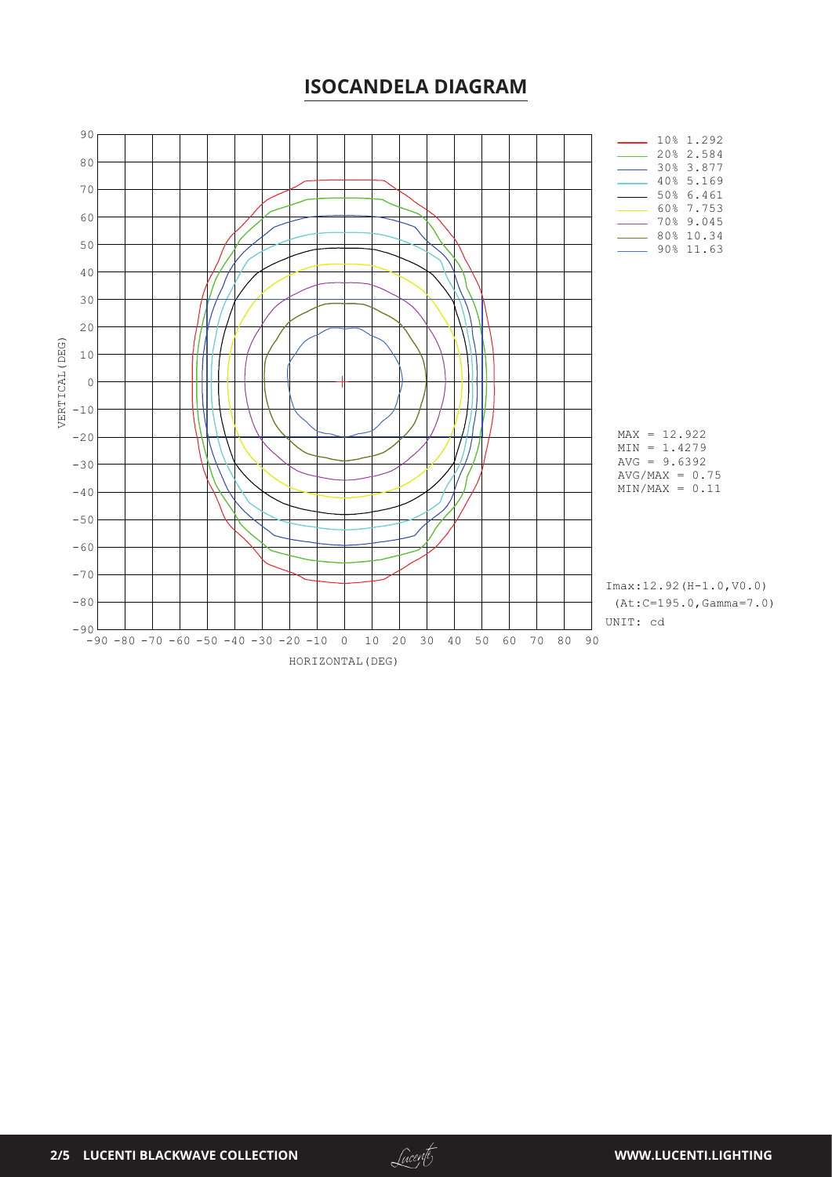#### **ISOCANDELA DIAGRAM**



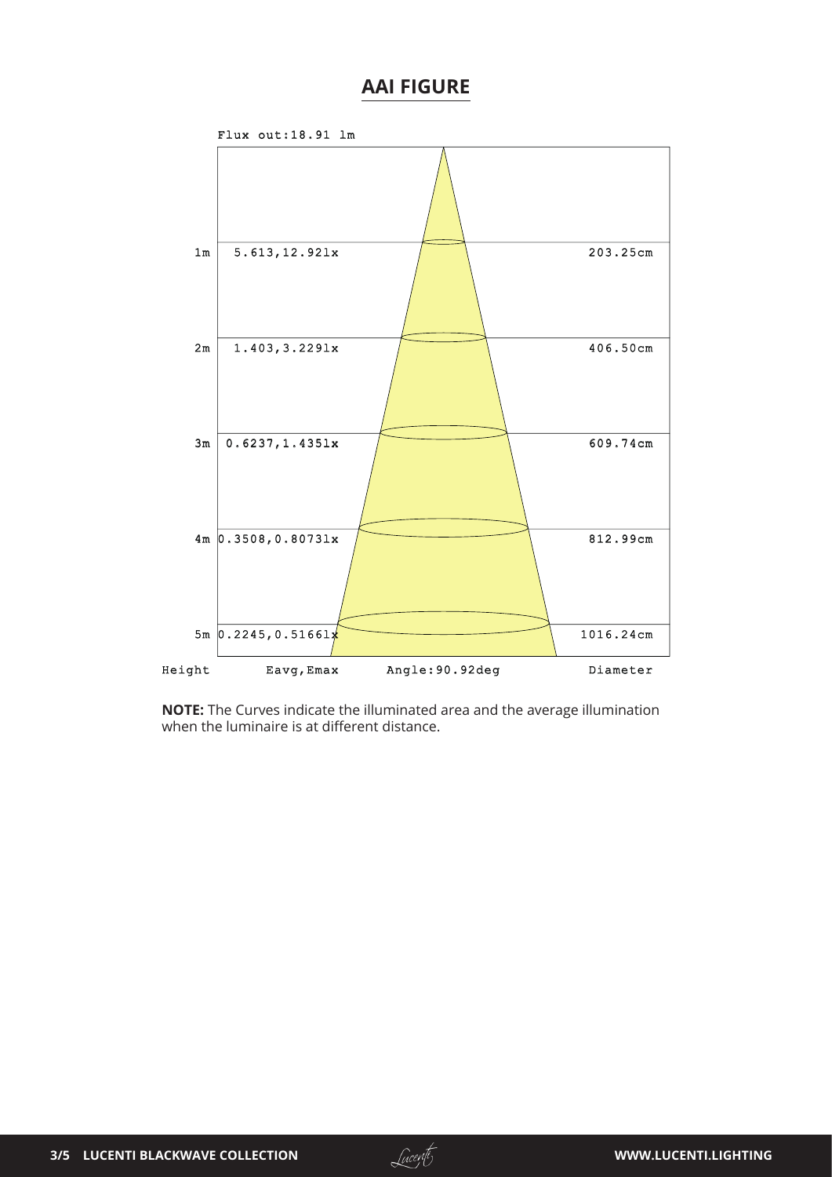## **AAI FIGURE**



**NOTE:** The Curves indicate the illuminated area and the average illumination when the luminaire is at different distance.

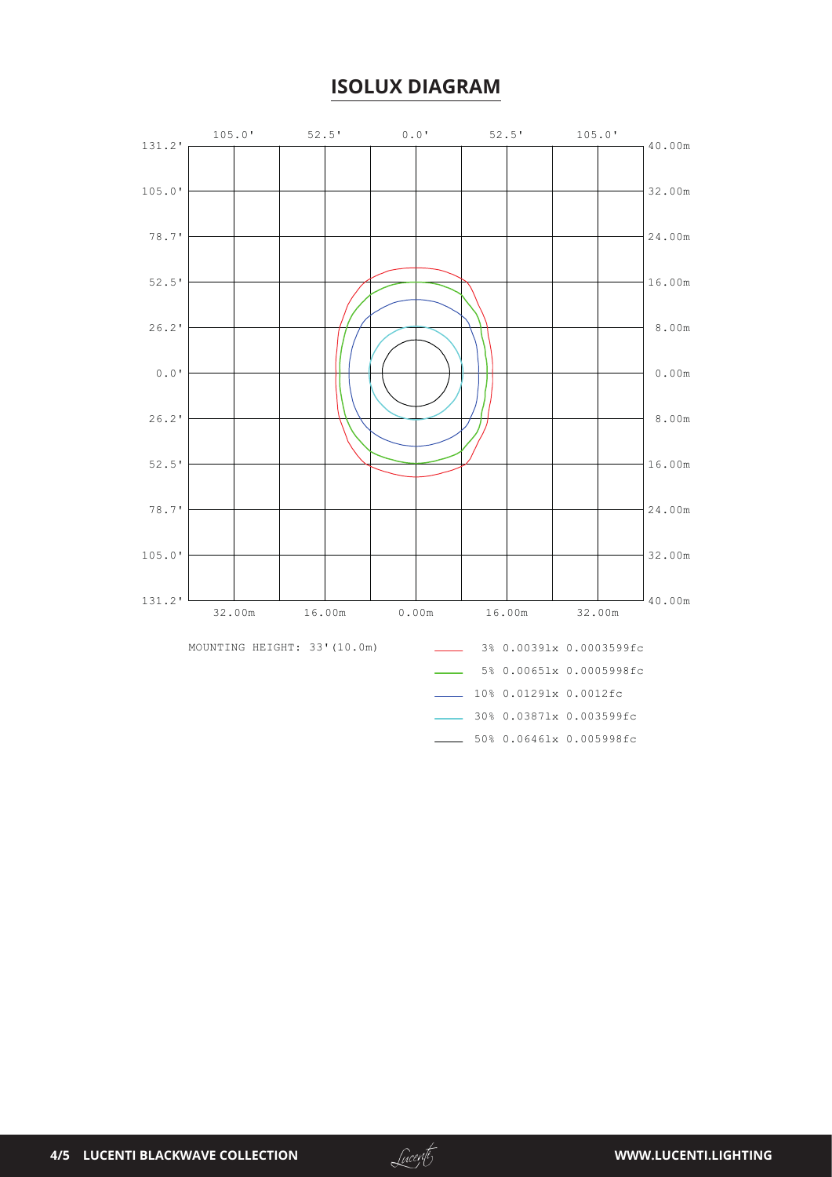## **ISOLUX DIAGRAM**